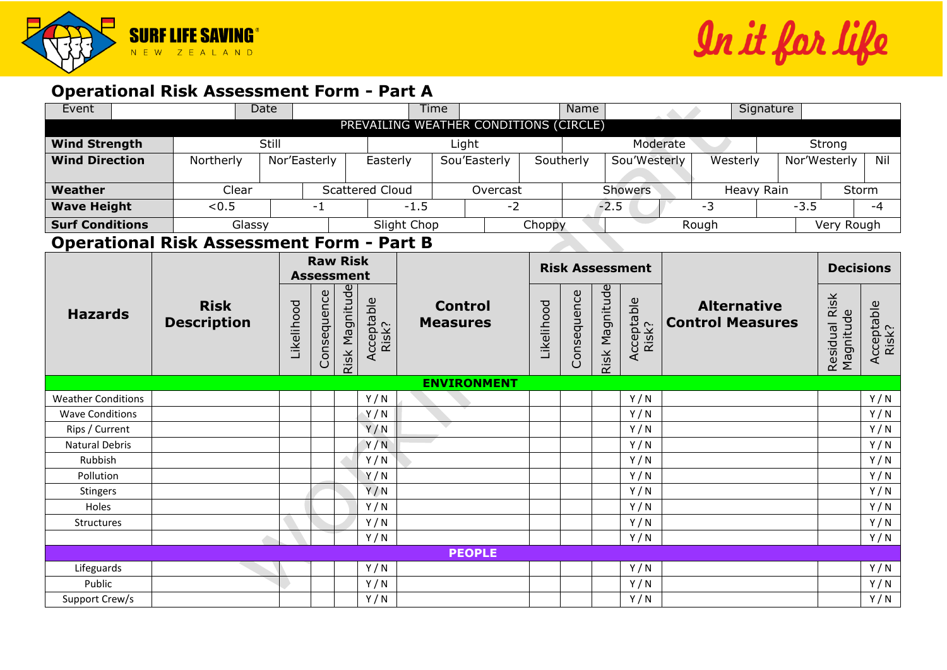

In it far life

## **Operational Risk Assessment Form - Part A**

| Event                                            | <b>Date</b>        |                                                                    |                        | Name<br><b>Time</b> |                 |                          |             |                        |                     | Signature               |            |              |                            |                  |                     |                     |  |  |     |
|--------------------------------------------------|--------------------|--------------------------------------------------------------------|------------------------|---------------------|-----------------|--------------------------|-------------|------------------------|---------------------|-------------------------|------------|--------------|----------------------------|------------------|---------------------|---------------------|--|--|-----|
| PREVAILING WEATHER CONDITIONS (CIRCLE)           |                    |                                                                    |                        |                     |                 |                          |             |                        |                     |                         |            |              |                            |                  |                     |                     |  |  |     |
| <b>Wind Strength</b>                             | Still              |                                                                    |                        |                     |                 | Light                    |             |                        | Moderate            |                         |            |              |                            |                  | Strong              |                     |  |  |     |
| <b>Wind Direction</b><br>Northerly               |                    |                                                                    | Nor'Easterly           |                     |                 | Sou'Easterly<br>Easterly |             |                        |                     | Southerly               |            | Sou'Westerly | Westerly                   |                  |                     | Nor'Westerly<br>Nil |  |  |     |
|                                                  |                    |                                                                    |                        |                     |                 |                          |             |                        |                     |                         |            |              |                            |                  |                     |                     |  |  |     |
| Weather                                          | Clear              |                                                                    | <b>Scattered Cloud</b> |                     | Overcast        |                          |             | <b>Showers</b>         |                     |                         | Heavy Rain |              | Storm                      |                  |                     |                     |  |  |     |
| <b>Wave Height</b>                               | < 0.5              |                                                                    |                        | $-1$                |                 | $-1.5$<br>$-2$           |             |                        | $-2.5$              |                         |            | $-3$         |                            | $-3.5$           |                     | $-4$                |  |  |     |
| <b>Surf Conditions</b><br>Glassy                 |                    |                                                                    |                        | Slight Chop         |                 | Choppy                   |             |                        | Rough               |                         | Very Rough |              |                            |                  |                     |                     |  |  |     |
| <b>Operational Risk Assessment Form - Part B</b> |                    |                                                                    |                        |                     |                 |                          |             |                        |                     |                         |            |              |                            |                  |                     |                     |  |  |     |
|                                                  |                    |                                                                    |                        |                     | <b>Raw Risk</b> |                          |             |                        |                     |                         |            |              |                            |                  |                     |                     |  |  |     |
|                                                  |                    |                                                                    | <b>Assessment</b>      |                     |                 |                          |             | <b>Risk Assessment</b> |                     |                         |            |              |                            | <b>Decisions</b> |                     |                     |  |  |     |
| <b>Hazards</b>                                   | <b>Risk</b>        |                                                                    |                        |                     |                 |                          |             | <b>Control</b>         |                     |                         |            |              |                            |                  | <b>Alternative</b>  |                     |  |  |     |
|                                                  | <b>Description</b> | Risk Magnitude<br>Consequence<br>Acceptable<br>Risk?<br>Likelihood |                        | <b>Measures</b>     | Likelihood      |                          | Consequence | Risk Magnitude         | Acceptable<br>Risk? | <b>Control Measures</b> |            |              | Residual Risk<br>Magnitude |                  | Acceptable<br>Risk? |                     |  |  |     |
|                                                  |                    |                                                                    |                        |                     |                 |                          |             | <b>ENVIRONMENT</b>     |                     |                         |            |              |                            |                  |                     |                     |  |  |     |
| <b>Weather Conditions</b>                        |                    |                                                                    |                        |                     |                 | Y/N                      |             |                        |                     |                         |            |              | Y/N                        |                  |                     |                     |  |  | Y/N |
| <b>Wave Conditions</b>                           |                    |                                                                    |                        |                     |                 | Y/N                      |             |                        |                     |                         |            |              | Y/N                        |                  |                     |                     |  |  | Y/N |
| Rips / Current                                   |                    |                                                                    |                        |                     |                 | Y/N                      |             |                        |                     |                         |            |              | Y/N                        |                  |                     |                     |  |  | Y/N |
| <b>Natural Debris</b>                            |                    |                                                                    |                        |                     |                 | Y/N                      |             |                        |                     |                         |            |              | Y/N                        |                  |                     |                     |  |  | Y/N |
| Rubbish                                          |                    |                                                                    |                        |                     |                 | Y/N                      |             |                        |                     |                         |            |              | Y/N                        |                  |                     |                     |  |  | Y/N |
| Pollution                                        |                    |                                                                    |                        |                     |                 | Y/N                      |             |                        |                     |                         |            |              | Y/N                        |                  |                     |                     |  |  | Y/N |
| Stingers                                         |                    |                                                                    |                        |                     |                 | Y/N                      |             |                        |                     |                         |            |              | Y/N                        |                  |                     |                     |  |  | Y/N |
| Holes                                            |                    |                                                                    |                        |                     |                 | Y/N                      |             |                        |                     |                         |            |              | Y/N                        |                  |                     |                     |  |  | Y/N |
| Structures                                       |                    |                                                                    |                        |                     |                 | Y/N                      |             |                        |                     |                         |            |              | Y/N                        |                  |                     |                     |  |  | Y/N |
|                                                  |                    |                                                                    |                        |                     |                 | Y/N                      |             |                        |                     |                         |            |              | Y/N                        |                  |                     |                     |  |  | Y/N |
| <b>PEOPLE</b>                                    |                    |                                                                    |                        |                     |                 |                          |             |                        |                     |                         |            |              |                            |                  |                     |                     |  |  |     |
| Lifeguards                                       |                    |                                                                    |                        |                     |                 | Y/N                      |             |                        |                     |                         |            |              | Y/N                        |                  |                     |                     |  |  | Y/N |
| Public                                           |                    |                                                                    |                        |                     |                 | Y/N                      |             |                        |                     |                         |            |              | Y/N                        |                  |                     |                     |  |  | Y/N |
| Support Crew/s                                   |                    |                                                                    |                        |                     |                 | Y/N                      |             |                        |                     |                         |            |              | Y/N                        |                  |                     |                     |  |  | Y/N |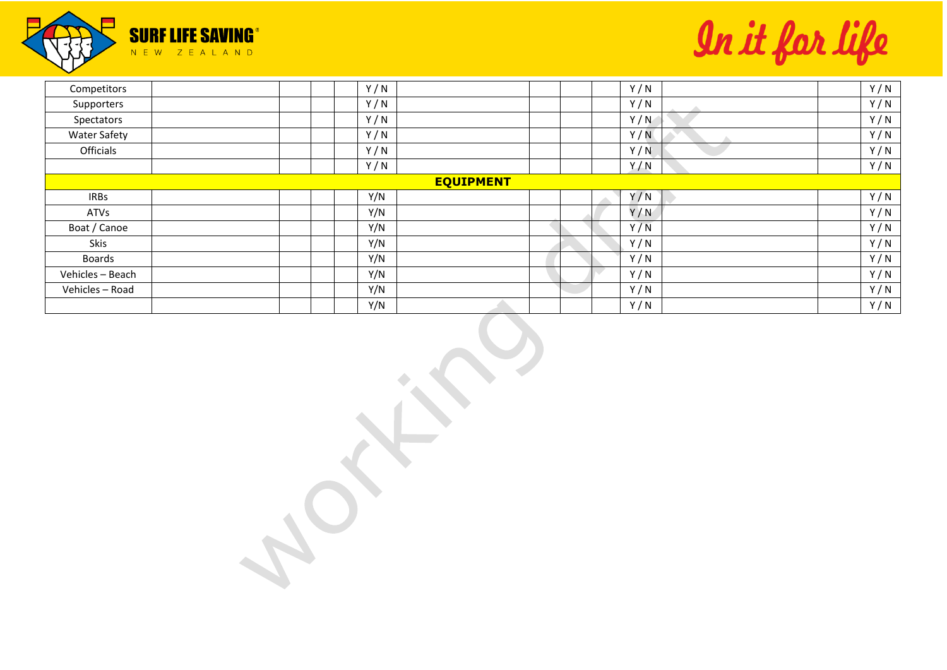

In it for life

| Competitors         |  | Y/N |                  |  | Y/N | Y/N |
|---------------------|--|-----|------------------|--|-----|-----|
| Supporters          |  | Y/N |                  |  | Y/N | Y/N |
| Spectators          |  | Y/N |                  |  | Y/N | Y/N |
| <b>Water Safety</b> |  | Y/N |                  |  | Y/N | Y/N |
| Officials           |  | Y/N |                  |  | Y/N | Y/N |
|                     |  | Y/N |                  |  | Y/N | Y/N |
|                     |  |     | <b>EQUIPMENT</b> |  |     |     |
| <b>IRBs</b>         |  | Y/N |                  |  | Y/N | Y/N |
| ATVs                |  | Y/N |                  |  | Y/N | Y/N |
| Boat / Canoe        |  | Y/N |                  |  | Y/N | Y/N |
| Skis                |  | Y/N |                  |  | Y/N | Y/N |
| <b>Boards</b>       |  | Y/N |                  |  | Y/N | Y/N |
| Vehicles - Beach    |  | Y/N |                  |  | Y/N | Y/N |
| Vehicles - Road     |  | Y/N |                  |  | Y/N | Y/N |
|                     |  | Y/N |                  |  | Y/N | Y/N |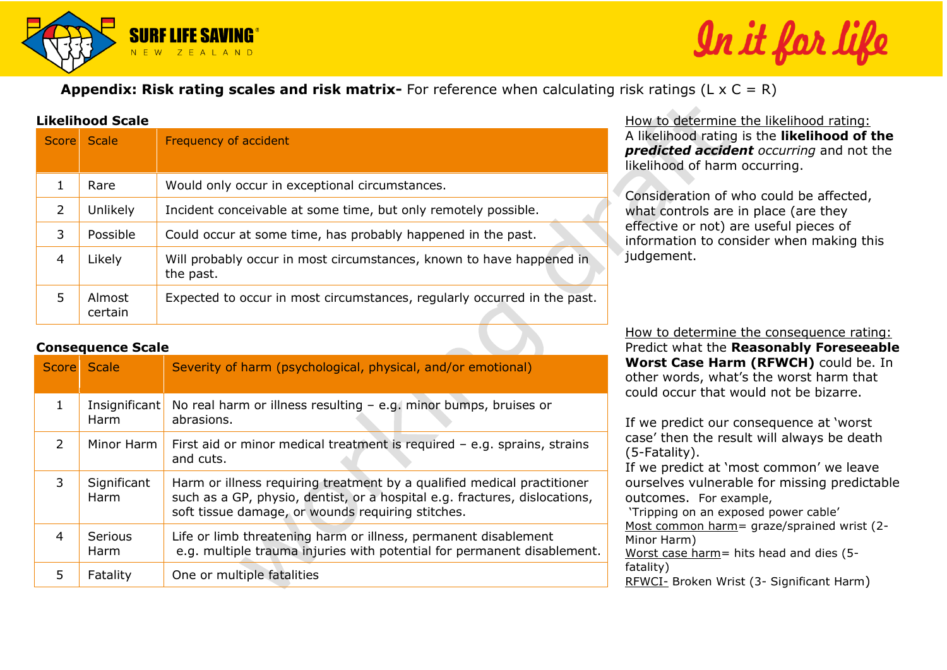

## In it far

**Appendix: Risk rating scales and risk matrix-** For reference when calculating risk ratings (L x C = R)

## **Likelihood Scale**

| <b>Score</b> | Scale             | Frequency of accident                                                             |
|--------------|-------------------|-----------------------------------------------------------------------------------|
|              | Rare              | Would only occur in exceptional circumstances.                                    |
| 2            | Unlikely          | Incident conceivable at some time, but only remotely possible.                    |
| 3            | Possible          | Could occur at some time, has probably happened in the past.                      |
| 4            | Likely            | Will probably occur in most circumstances, known to have happened in<br>the past. |
| 5            | Almost<br>certain | Expected to occur in most circumstances, regularly occurred in the past.          |

How to determine the likelihood rating: A likelihood rating is the **likelihood of the**  *predicted accident occurring* and not the likelihood of harm occurring.

Consideration of who could be affected, what controls are in place (are they effective or not) are useful pieces of information to consider when making this judgement.

## **Consequence Scale**

| <b>Score</b>  | <b>Scale</b>                 | Severity of harm (psychological, physical, and/or emotional)                                                                                                                                               |
|---------------|------------------------------|------------------------------------------------------------------------------------------------------------------------------------------------------------------------------------------------------------|
| 1             | Insignificant<br><b>Harm</b> | No real harm or illness resulting $-$ e.g. minor bumps, bruises or<br>abrasions.                                                                                                                           |
| $\mathcal{P}$ | Minor Harm                   | First aid or minor medical treatment is required - e.g. sprains, strains<br>and cuts.                                                                                                                      |
| 3             | Significant<br>Harm          | Harm or illness requiring treatment by a qualified medical practitioner<br>such as a GP, physio, dentist, or a hospital e.g. fractures, dislocations,<br>soft tissue damage, or wounds requiring stitches. |
| 4             | Serious<br>Harm              | Life or limb threatening harm or illness, permanent disablement<br>e.g. multiple trauma injuries with potential for permanent disablement.                                                                 |
| 5             | Fatality                     | One or multiple fatalities                                                                                                                                                                                 |

How to determine the consequence rating: Predict what the **Reasonably Foreseeable Worst Case Harm (RFWCH)** could be. In other words, what's the worst harm that could occur that would not be bizarre.

If we predict our consequence at 'worst case' then the result will always be death (5-Fatality). If we predict at 'most common' we leave ourselves vulnerable for missing predictable outcomes. For example, 'Tripping on an exposed power cable' Most common harm= graze/sprained wrist (2- Minor Harm) Worst case harm= hits head and dies (5 fatality) RFWCI- Broken Wrist (3- Significant Harm)